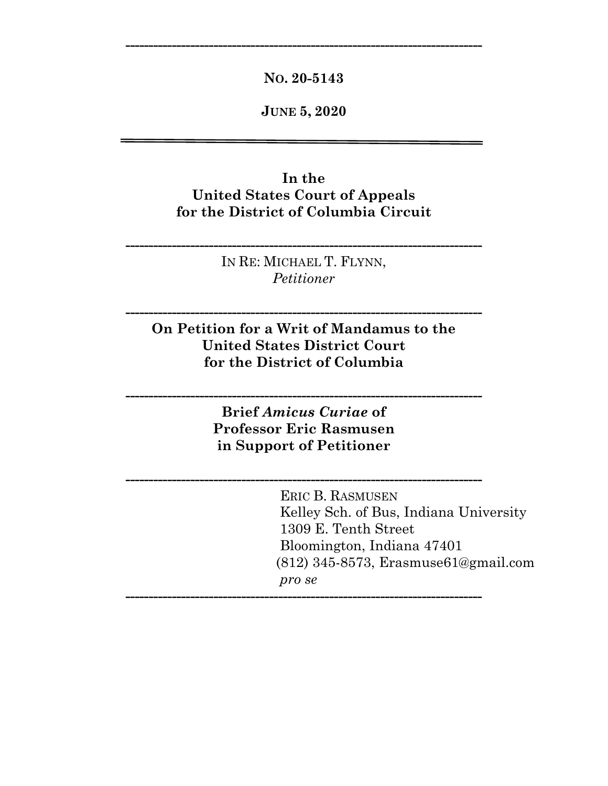**NO. 20-5143**

**-----------------------------------------------------------------------------**

**JUNE 5, 2020**

# **In the United States Court of Appeals for the District of Columbia Circuit**

IN RE: MICHAEL T. FLYNN, *Petitioner*

**-----------------------------------------------------------------------------**

**On Petition for a Writ of Mandamus to the United States District Court for the District of Columbia**

**-----------------------------------------------------------------------------**

**Brief** *Amicus Curiae* **of Professor Eric Rasmusen in Support of Petitioner**

**-----------------------------------------------------------------------------**

**-----------------------------------------------------------------------------**

**-----------------------------------------------------------------------------**

 ERIC B. RASMUSEN Kelley Sch. of Bus, Indiana University 1309 E. Tenth Street Bloomington, Indiana 47401 (812) 345-8573, Erasmuse61@gmail.com *pro se*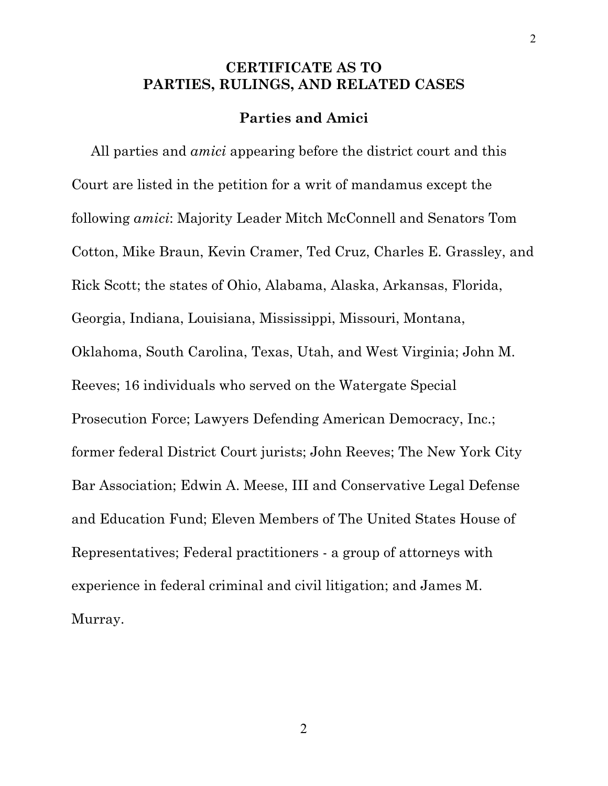# **CERTIFICATE AS TO PARTIES, RULINGS, AND RELATED CASES**

### **Parties and Amici**

 All parties and *amici* appearing before the district court and this Court are listed in the petition for a writ of mandamus except the following *amici*: Majority Leader Mitch McConnell and Senators Tom Cotton, Mike Braun, Kevin Cramer, Ted Cruz, Charles E. Grassley, and Rick Scott; the states of Ohio, Alabama, Alaska, Arkansas, Florida, Georgia, Indiana, Louisiana, Mississippi, Missouri, Montana, Oklahoma, South Carolina, Texas, Utah, and West Virginia; John M. Reeves; 16 individuals who served on the Watergate Special Prosecution Force; Lawyers Defending American Democracy, Inc.; former federal District Court jurists; John Reeves; The New York City Bar Association; Edwin A. Meese, III and Conservative Legal Defense and Education Fund; Eleven Members of The United States House of Representatives; Federal practitioners - a group of attorneys with experience in federal criminal and civil litigation; and James M. Murray.

2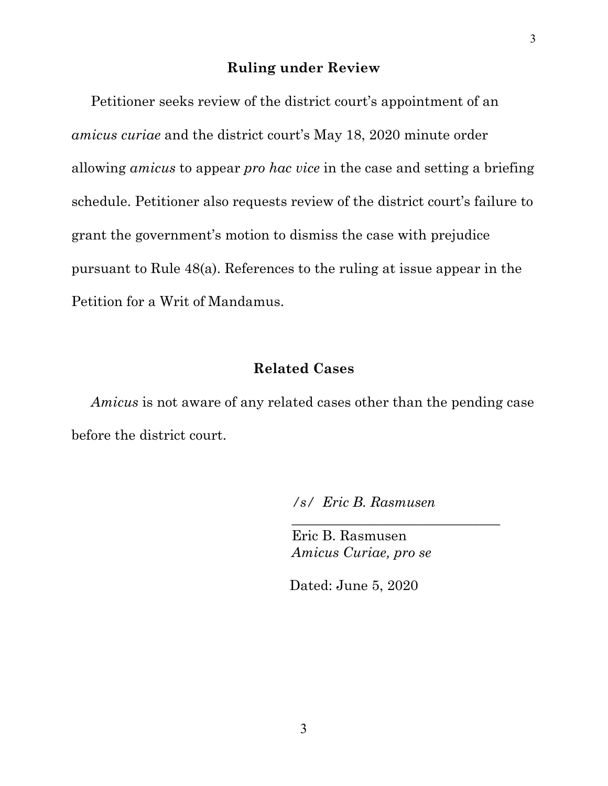## **Ruling under Review**

 Petitioner seeks review of the district court's appointment of an *amicus curiae* and the district court's May 18, 2020 minute order allowing *amicus* to appear *pro hac vice* in the case and setting a briefing schedule. Petitioner also requests review of the district court's failure to grant the government's motion to dismiss the case with prejudice pursuant to Rule 48(a). References to the ruling at issue appear in the Petition for a Writ of Mandamus.

### **Related Cases**

 *Amicus* is not aware of any related cases other than the pending case before the district court.

*/s/ Eric B. Rasmusen*

*\_\_\_\_\_\_\_\_\_\_\_\_\_\_\_\_\_\_\_\_\_\_\_\_\_\_\_\_\_\_*

 Eric B. Rasmusen *Amicus Curiae, pro se*

Dated: June 5, 2020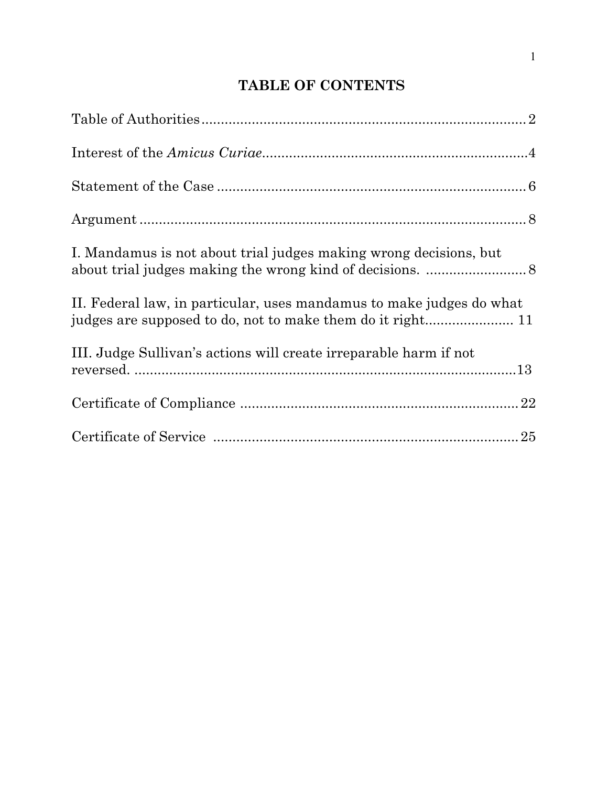# **TABLE OF CONTENTS**

| I. Mandamus is not about trial judges making wrong decisions, but    |
|----------------------------------------------------------------------|
| II. Federal law, in particular, uses mandamus to make judges do what |
| III. Judge Sullivan's actions will create irreparable harm if not    |
|                                                                      |
|                                                                      |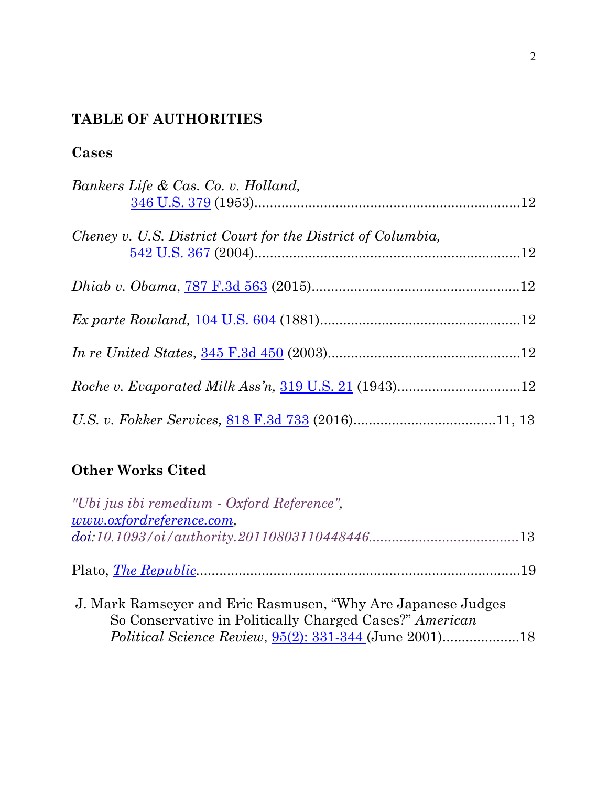# **TABLE OF AUTHORITIES**

# **Cases**

| Bankers Life & Cas. Co. v. Holland,                         |  |
|-------------------------------------------------------------|--|
| Cheney v. U.S. District Court for the District of Columbia, |  |
|                                                             |  |
|                                                             |  |
|                                                             |  |
|                                                             |  |
|                                                             |  |

# **Other Works Cited**

| "Ubi jus ibi remedium - Oxford Reference",                                                                               |  |
|--------------------------------------------------------------------------------------------------------------------------|--|
| www.oxfordreference.com,                                                                                                 |  |
| $doi:10.1093/oi/authority.20110803110448446$                                                                             |  |
|                                                                                                                          |  |
| J. Mark Ramseyer and Eric Rasmusen, "Why Are Japanese Judges"<br>So Conservative in Politically Charged Cases?" American |  |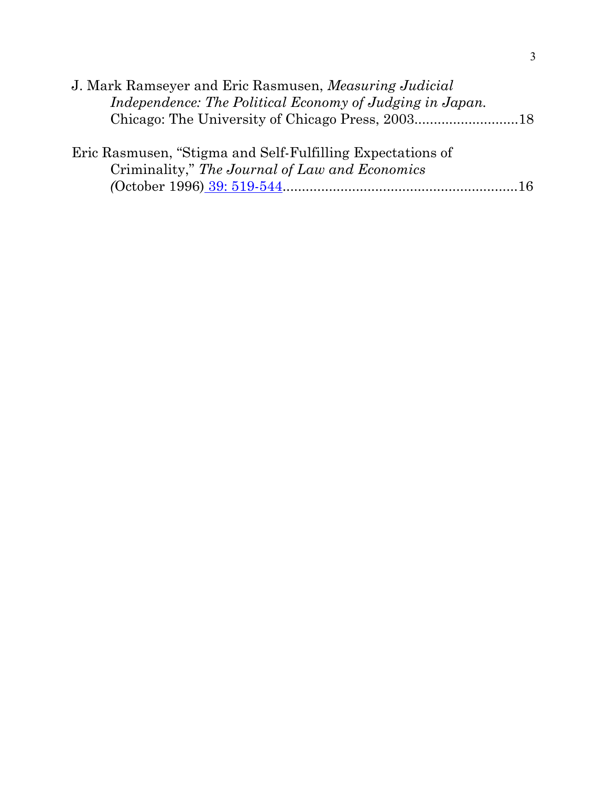| J. Mark Ramseyer and Eric Rasmusen, <i>Measuring Judicial</i> |  |
|---------------------------------------------------------------|--|
| Independence: The Political Economy of Judging in Japan.      |  |
|                                                               |  |
|                                                               |  |
| Eric Rasmusen, "Stigma and Self-Fulfilling Expectations of    |  |
| Criminality," The Journal of Law and Economics                |  |
|                                                               |  |
|                                                               |  |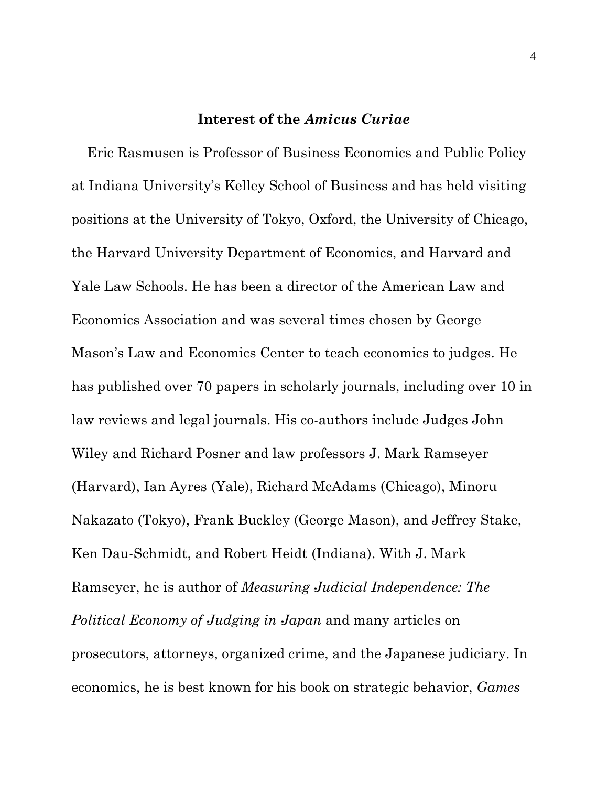#### **Interest of the** *Amicus Curiae*

 Eric Rasmusen is Professor of Business Economics and Public Policy at Indiana University's Kelley School of Business and has held visiting positions at the University of Tokyo, Oxford, the University of Chicago, the Harvard University Department of Economics, and Harvard and Yale Law Schools. He has been a director of the American Law and Economics Association and was several times chosen by George Mason's Law and Economics Center to teach economics to judges. He has published over 70 papers in scholarly journals, including over 10 in law reviews and legal journals. His co-authors include Judges John Wiley and Richard Posner and law professors J. Mark Ramseyer (Harvard), Ian Ayres (Yale), Richard McAdams (Chicago), Minoru Nakazato (Tokyo), Frank Buckley (George Mason), and Jeffrey Stake, Ken Dau-Schmidt, and Robert Heidt (Indiana). With J. Mark Ramseyer, he is author of *Measuring Judicial Independence: The Political Economy of Judging in Japan* and many articles on prosecutors, attorneys, organized crime, and the Japanese judiciary. In economics, he is best known for his book on strategic behavior, *Games*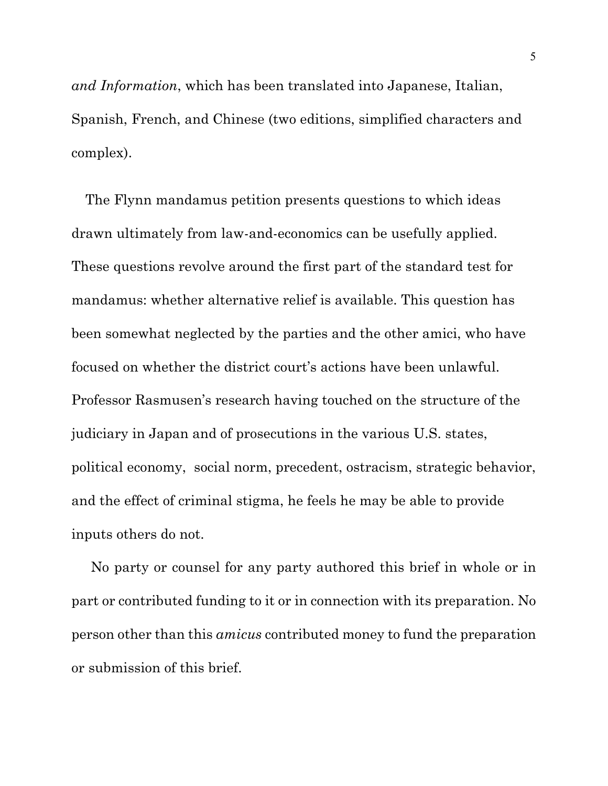*and Information*, which has been translated into Japanese, Italian, Spanish, French, and Chinese (two editions, simplified characters and complex).

 The Flynn mandamus petition presents questions to which ideas drawn ultimately from law-and-economics can be usefully applied. These questions revolve around the first part of the standard test for mandamus: whether alternative relief is available. This question has been somewhat neglected by the parties and the other amici, who have focused on whether the district court's actions have been unlawful. Professor Rasmusen's research having touched on the structure of the judiciary in Japan and of prosecutions in the various U.S. states, political economy, social norm, precedent, ostracism, strategic behavior, and the effect of criminal stigma, he feels he may be able to provide inputs others do not.

 No party or counsel for any party authored this brief in whole or in part or contributed funding to it or in connection with its preparation. No person other than this *amicus* contributed money to fund the preparation or submission of this brief.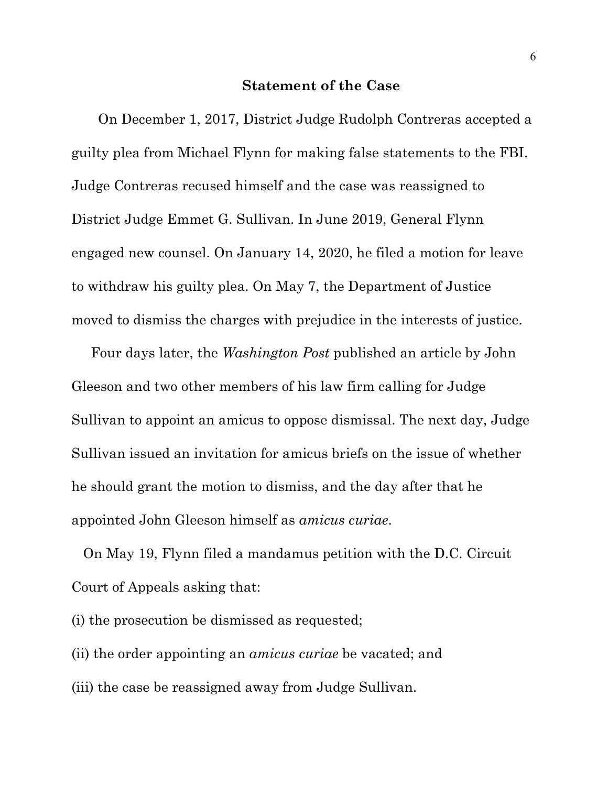#### **Statement of the Case**

On December 1, 2017, District Judge Rudolph Contreras accepted a guilty plea from Michael Flynn for making false statements to the FBI. Judge Contreras recused himself and the case was reassigned to District Judge Emmet G. Sullivan. In June 2019, General Flynn engaged new counsel. On January 14, 2020, he filed a motion for leave to withdraw his guilty plea. On May 7, the Department of Justice moved to dismiss the charges with prejudice in the interests of justice.

 Four days later, the *Washington Post* published an article by John Gleeson and two other members of his law firm calling for Judge Sullivan to appoint an amicus to oppose dismissal. The next day, Judge Sullivan issued an invitation for amicus briefs on the issue of whether he should grant the motion to dismiss, and the day after that he appointed John Gleeson himself as *amicus curiae*.

 On May 19, Flynn filed a mandamus petition with the D.C. Circuit Court of Appeals asking that:

(i) the prosecution be dismissed as requested;

(ii) the order appointing an *amicus curiae* be vacated; and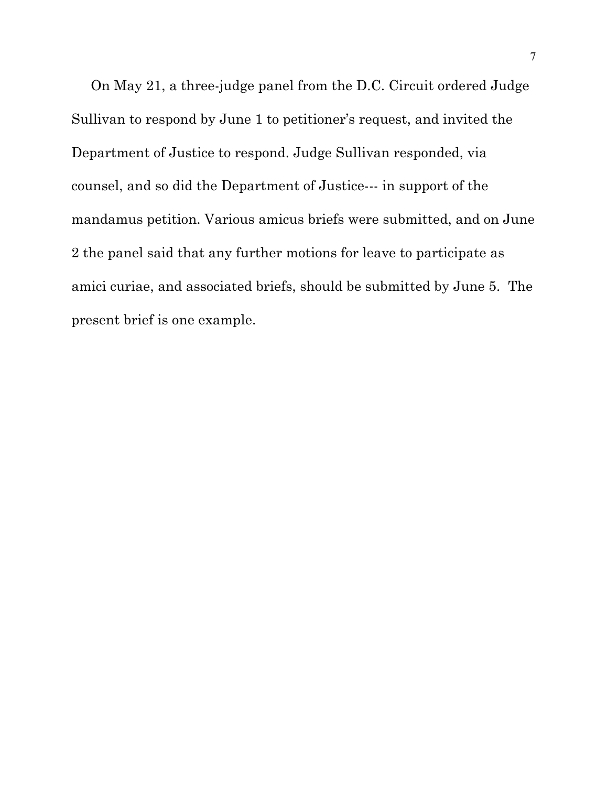On May 21, a three-judge panel from the D.C. Circuit ordered Judge Sullivan to respond by June 1 to petitioner's request, and invited the Department of Justice to respond. Judge Sullivan responded, via counsel, and so did the Department of Justice--- in support of the mandamus petition. Various amicus briefs were submitted, and on June 2 the panel said that any further motions for leave to participate as amici curiae, and associated briefs, should be submitted by June 5. The present brief is one example.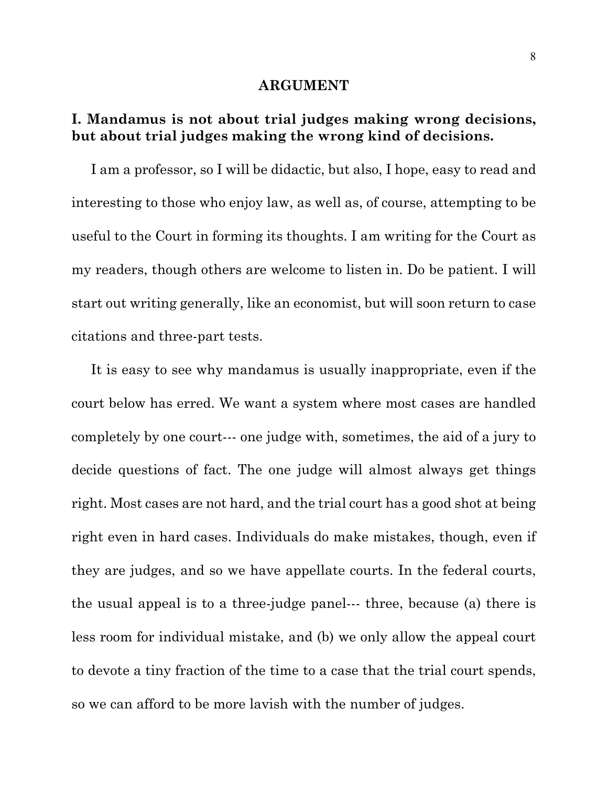#### **ARGUMENT**

# **I. Mandamus is not about trial judges making wrong decisions, but about trial judges making the wrong kind of decisions.**

 I am a professor, so I will be didactic, but also, I hope, easy to read and interesting to those who enjoy law, as well as, of course, attempting to be useful to the Court in forming its thoughts. I am writing for the Court as my readers, though others are welcome to listen in. Do be patient. I will start out writing generally, like an economist, but will soon return to case citations and three-part tests.

 It is easy to see why mandamus is usually inappropriate, even if the court below has erred. We want a system where most cases are handled completely by one court--- one judge with, sometimes, the aid of a jury to decide questions of fact. The one judge will almost always get things right. Most cases are not hard, and the trial court has a good shot at being right even in hard cases. Individuals do make mistakes, though, even if they are judges, and so we have appellate courts. In the federal courts, the usual appeal is to a three-judge panel--- three, because (a) there is less room for individual mistake, and (b) we only allow the appeal court to devote a tiny fraction of the time to a case that the trial court spends, so we can afford to be more lavish with the number of judges.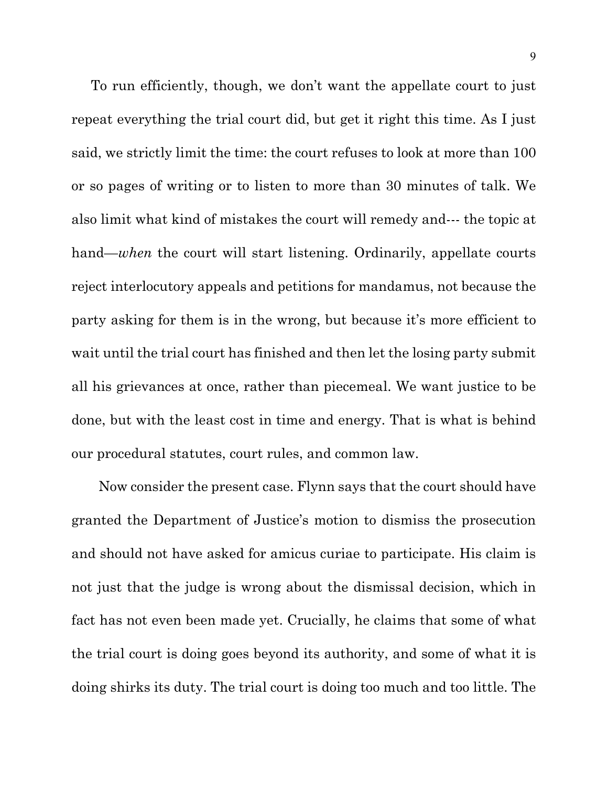To run efficiently, though, we don't want the appellate court to just repeat everything the trial court did, but get it right this time. As I just said, we strictly limit the time: the court refuses to look at more than 100 or so pages of writing or to listen to more than 30 minutes of talk. We also limit what kind of mistakes the court will remedy and--- the topic at hand—*when* the court will start listening. Ordinarily, appellate courts reject interlocutory appeals and petitions for mandamus, not because the party asking for them is in the wrong, but because it's more efficient to wait until the trial court has finished and then let the losing party submit all his grievances at once, rather than piecemeal. We want justice to be done, but with the least cost in time and energy. That is what is behind our procedural statutes, court rules, and common law.

 Now consider the present case. Flynn says that the court should have granted the Department of Justice's motion to dismiss the prosecution and should not have asked for amicus curiae to participate. His claim is not just that the judge is wrong about the dismissal decision, which in fact has not even been made yet. Crucially, he claims that some of what the trial court is doing goes beyond its authority, and some of what it is doing shirks its duty. The trial court is doing too much and too little. The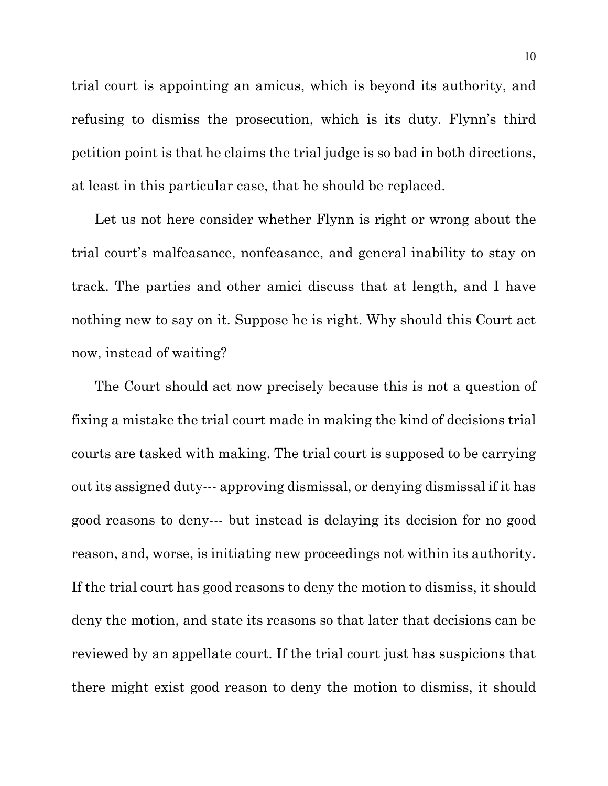trial court is appointing an amicus, which is beyond its authority, and refusing to dismiss the prosecution, which is its duty. Flynn's third petition point is that he claims the trial judge is so bad in both directions, at least in this particular case, that he should be replaced.

 Let us not here consider whether Flynn is right or wrong about the trial court's malfeasance, nonfeasance, and general inability to stay on track. The parties and other amici discuss that at length, and I have nothing new to say on it. Suppose he is right. Why should this Court act now, instead of waiting?

 The Court should act now precisely because this is not a question of fixing a mistake the trial court made in making the kind of decisions trial courts are tasked with making. The trial court is supposed to be carrying out its assigned duty--- approving dismissal, or denying dismissal if it has good reasons to deny--- but instead is delaying its decision for no good reason, and, worse, is initiating new proceedings not within its authority. If the trial court has good reasons to deny the motion to dismiss, it should deny the motion, and state its reasons so that later that decisions can be reviewed by an appellate court. If the trial court just has suspicions that there might exist good reason to deny the motion to dismiss, it should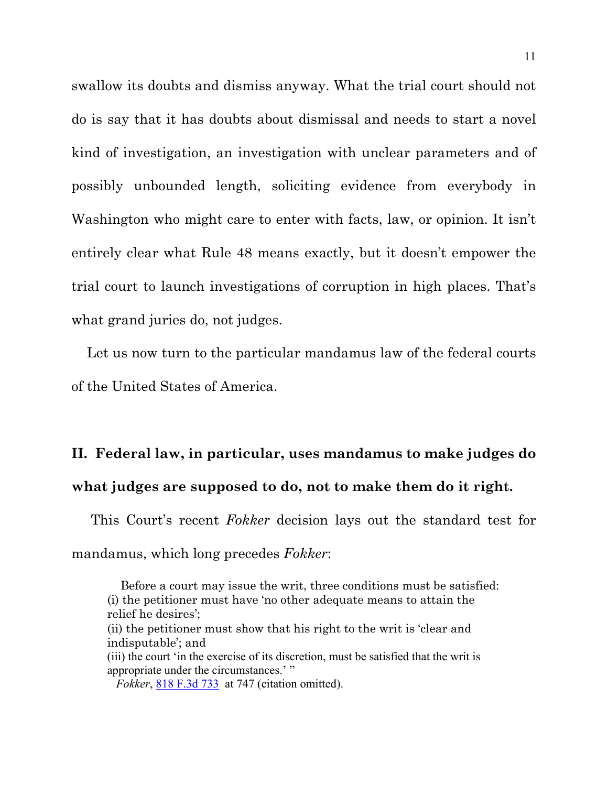swallow its doubts and dismiss anyway. What the trial court should not do is say that it has doubts about dismissal and needs to start a novel kind of investigation, an investigation with unclear parameters and of possibly unbounded length, soliciting evidence from everybody in Washington who might care to enter with facts, law, or opinion. It isn't entirely clear what Rule 48 means exactly, but it doesn't empower the trial court to launch investigations of corruption in high places. That's what grand juries do, not judges.

 Let us now turn to the particular mandamus law of the federal courts of the United States of America.

# **II. Federal law, in particular, uses mandamus to make judges do what judges are supposed to do, not to make them do it right.**

 This Court's recent *Fokker* decision lays out the standard test for mandamus, which long precedes *Fokker*:

 Before a court may issue the writ, three conditions must be satisfied: (i) the petitioner must have 'no other adequate means to attain the relief he desires'; (ii) the petitioner must show that his right to the writ is 'clear and indisputable'; and (iii) the court 'in the exercise of its discretion, must be satisfied that the writ is appropriate under the circumstances.'" *Fokker*, [818 F.3d 733](https://casetext.com/case/united-states-v-fokker-servs-bv-4) at 747 (citation omitted).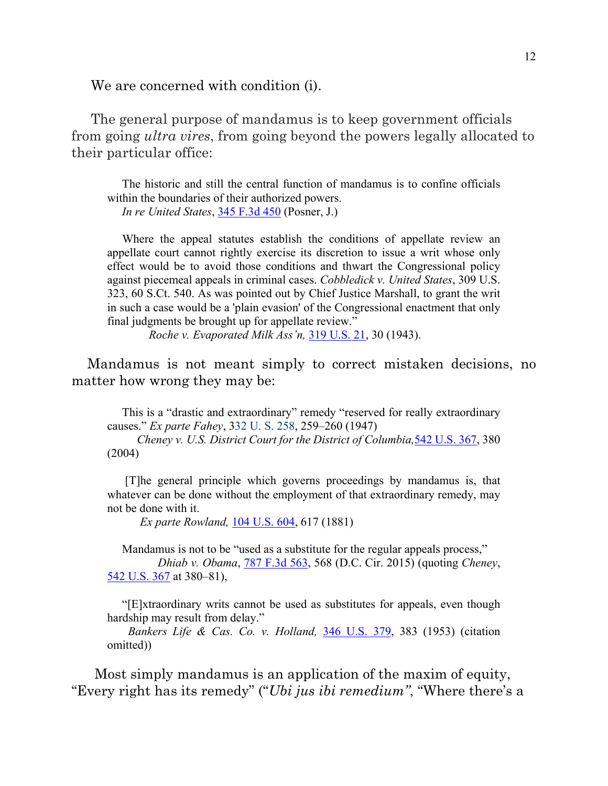We are concerned with condition (i).

 The general purpose of mandamus is to keep government officials from going *ultra vires*, from going beyond the powers legally allocated to their particular office:

 The historic and still the central function of mandamus is to confine officials within the boundaries of their authorized powers.  *In re United States*, 345 F.3d 450 (Posner, J.)

 Where the appeal statutes establish the conditions of appellate review an appellate court cannot rightly exercise its discretion to issue a writ whose only effect would be to avoid those conditions and thwart the Congressional policy against piecemeal appeals in criminal cases. *Cobbledick v. United States*, 309 U.S. 323, 60 S.Ct. 540. As was pointed out by Chief Justice Marshall, to grant the writ in such a case would be a 'plain evasion' of the Congressional enactment that only final judgments be brought up for appellate review."

*Roche v. Evaporated Milk Ass'n,* [319 U.S. 21,](https://caselaw.findlaw.com/us-supreme-court/319/21.html) 30 (1943).

Mandamus is not meant simply to correct mistaken decisions, no matter how wrong they may be:

 This is a "drastic and extraordinary" remedy "reserved for really extraordinary causes." *Ex parte Fahey*, [332 U. S. 258,](https://supreme.justia.com/cases/federal/us/332/258/index.html) 259–260 (1947)

 *[Cheney v. U.S. District Court for the District of Columbia,](https://scholar.google.com/scholar_case?case=10986519142240111755&q=818+F3d+fokker&hl=en&as_sdt=800006)*[542 U.S. 367,](https://scholar.google.com/scholar_case?case=10986519142240111755&q=818+F3d+fokker&hl=en&as_sdt=800006) 380 [\(2004\)](https://scholar.google.com/scholar_case?case=10986519142240111755&q=818+F3d+fokker&hl=en&as_sdt=800006)

 [T]he general principle which governs proceedings by mandamus is, that whatever can be done without the employment of that extraordinary remedy, may not be done with it.

*Ex parte Rowland,* [104 U.S. 604,](https://supreme.justia.com/cases/federal/us/104/604/) 617 (1881)

Mandamus is not to be "used as a substitute for the regular appeals process," *Dhiab v. Obama*, [787 F.3d 563,](https://cite.case.law/f3d/787/563/4227974/) 568 (D.C. Cir. 2015) (quoting *Cheney*, [542 U.S. 367](https://scholar.google.com/scholar_case?case=10986519142240111755&q=818+F3d+fokker&hl=en&as_sdt=800006) at 380–81),

 "[E]xtraordinary writs cannot be used as substitutes for appeals, even though hardship may result from delay."

 *Bankers Life & Cas. Co. v. Holland,* [346 U.S. 379,](https://supreme.justia.com/cases/federal/us/346/379/) 383 (1953) (citation omitted))

 Most simply mandamus is an application of the maxim of equity, "Every right has its remedy" ("*Ubi jus ibi remedium"*, "Where there's a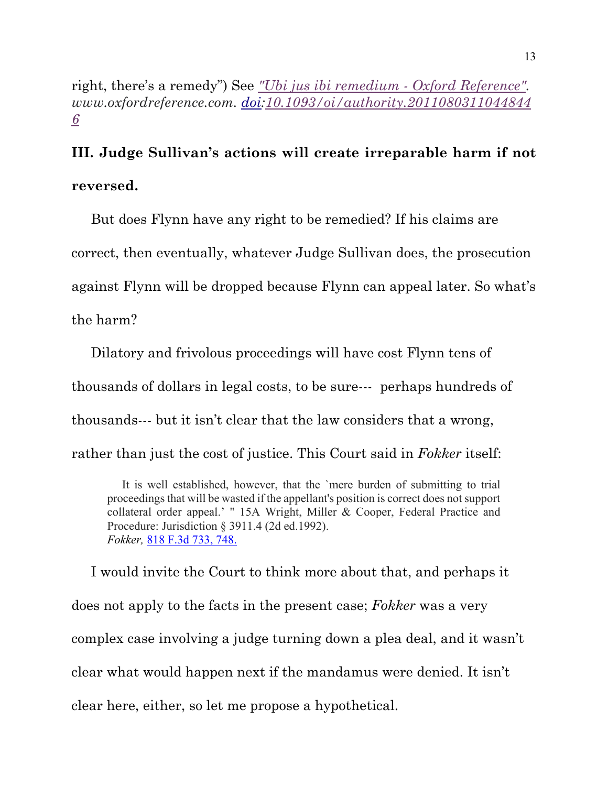right, there's a remedy") See *["Ubi jus ibi remedium -](https://www.oxfordreference.com/view/10.1093/oi/authority.20110803110448446) Oxford Reference". www.oxfordreference.com. [doi](https://en.wikipedia.org/wiki/Doi_(identifier))[:10.1093/oi/authority.2011080311044844](https://doi.org/10.1093%2Foi%2Fauthority.20110803110448446) [6](https://doi.org/10.1093%2Foi%2Fauthority.20110803110448446)*

# **III. Judge Sullivan's actions will create irreparable harm if not reversed.**

 But does Flynn have any right to be remedied? If his claims are correct, then eventually, whatever Judge Sullivan does, the prosecution against Flynn will be dropped because Flynn can appeal later. So what's the harm?

 Dilatory and frivolous proceedings will have cost Flynn tens of thousands of dollars in legal costs, to be sure--- perhaps hundreds of thousands--- but it isn't clear that the law considers that a wrong, rather than just the cost of justice. This Court said in *Fokker* itself:

 It is well established, however, that the `mere burden of submitting to trial proceedings that will be wasted if the appellant's position is correct does not support collateral order appeal.' " 15A Wright, Miller & Cooper, Federal Practice and Procedure: Jurisdiction § 3911.4 (2d ed.1992). *Fokker,* [818 F.3d 733,](https://casetext.com/case/united-states-v-fokker-servs-bv-4) 748.

 I would invite the Court to think more about that, and perhaps it does not apply to the facts in the present case; *Fokker* was a very complex case involving a judge turning down a plea deal, and it wasn't clear what would happen next if the mandamus were denied. It isn't clear here, either, so let me propose a hypothetical.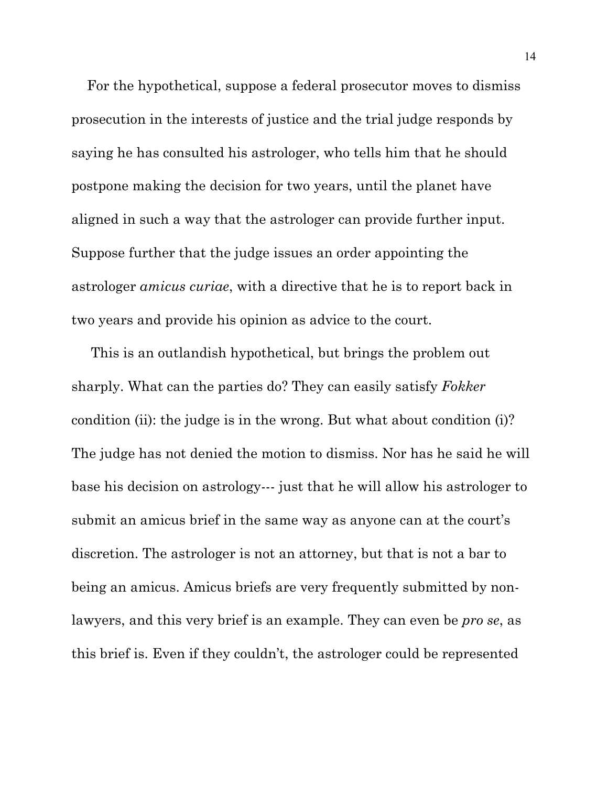For the hypothetical, suppose a federal prosecutor moves to dismiss prosecution in the interests of justice and the trial judge responds by saying he has consulted his astrologer, who tells him that he should postpone making the decision for two years, until the planet have aligned in such a way that the astrologer can provide further input. Suppose further that the judge issues an order appointing the astrologer *amicus curiae*, with a directive that he is to report back in two years and provide his opinion as advice to the court.

 This is an outlandish hypothetical, but brings the problem out sharply. What can the parties do? They can easily satisfy *Fokker* condition (ii): the judge is in the wrong. But what about condition (i)? The judge has not denied the motion to dismiss. Nor has he said he will base his decision on astrology--- just that he will allow his astrologer to submit an amicus brief in the same way as anyone can at the court's discretion. The astrologer is not an attorney, but that is not a bar to being an amicus. Amicus briefs are very frequently submitted by nonlawyers, and this very brief is an example. They can even be *pro se*, as this brief is. Even if they couldn't, the astrologer could be represented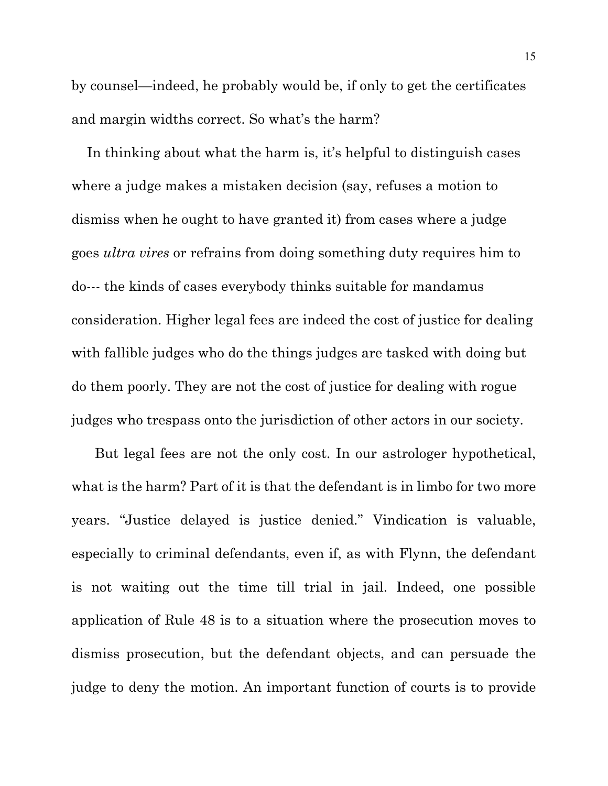by counsel—indeed, he probably would be, if only to get the certificates and margin widths correct. So what's the harm?

 In thinking about what the harm is, it's helpful to distinguish cases where a judge makes a mistaken decision (say, refuses a motion to dismiss when he ought to have granted it) from cases where a judge goes *ultra vires* or refrains from doing something duty requires him to do--- the kinds of cases everybody thinks suitable for mandamus consideration. Higher legal fees are indeed the cost of justice for dealing with fallible judges who do the things judges are tasked with doing but do them poorly. They are not the cost of justice for dealing with rogue judges who trespass onto the jurisdiction of other actors in our society.

 But legal fees are not the only cost. In our astrologer hypothetical, what is the harm? Part of it is that the defendant is in limbo for two more years. "Justice delayed is justice denied." Vindication is valuable, especially to criminal defendants, even if, as with Flynn, the defendant is not waiting out the time till trial in jail. Indeed, one possible application of Rule 48 is to a situation where the prosecution moves to dismiss prosecution, but the defendant objects, and can persuade the judge to deny the motion. An important function of courts is to provide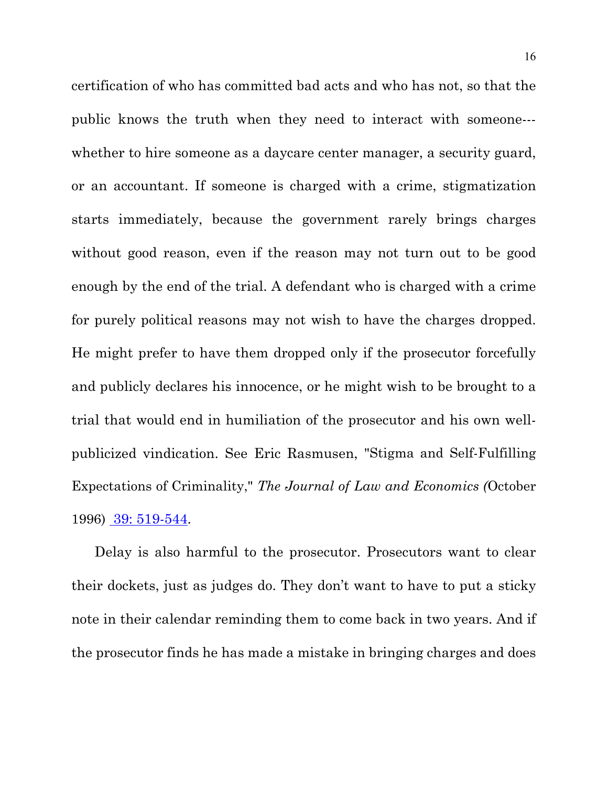certification of who has committed bad acts and who has not, so that the public knows the truth when they need to interact with someone-- whether to hire someone as a daycare center manager, a security guard, or an accountant. If someone is charged with a crime, stigmatization starts immediately, because the government rarely brings charges without good reason, even if the reason may not turn out to be good enough by the end of the trial. A defendant who is charged with a crime for purely political reasons may not wish to have the charges dropped. He might prefer to have them dropped only if the prosecutor forcefully and publicly declares his innocence, or he might wish to be brought to a trial that would end in humiliation of the prosecutor and his own wellpublicized vindication. See Eric Rasmusen, "Stigma and Self-Fulfilling Expectations of Criminality," *The Journal of Law and Economics (*October 1996) [39: 519-544.](http://www.rasmusen.org/published/Rasmusen_96JLE.stigma.pdf)

 Delay is also harmful to the prosecutor. Prosecutors want to clear their dockets, just as judges do. They don't want to have to put a sticky note in their calendar reminding them to come back in two years. And if the prosecutor finds he has made a mistake in bringing charges and does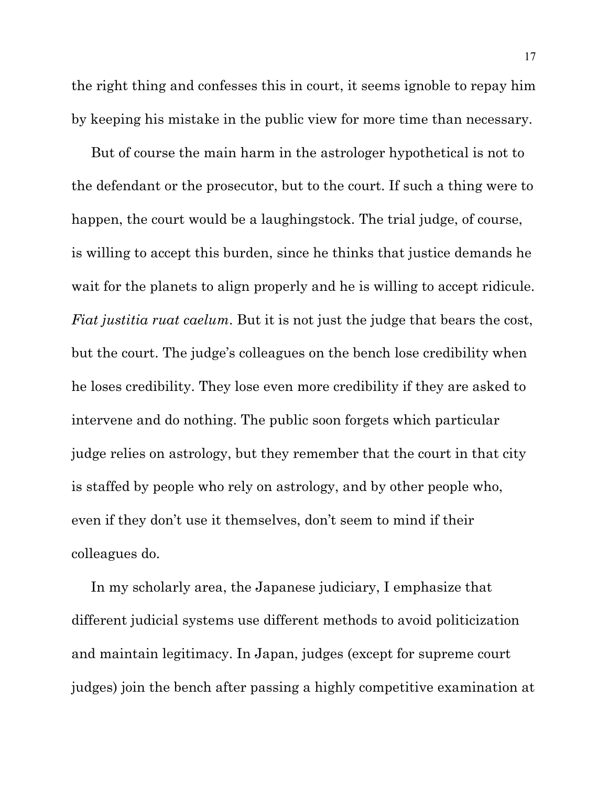the right thing and confesses this in court, it seems ignoble to repay him by keeping his mistake in the public view for more time than necessary.

 But of course the main harm in the astrologer hypothetical is not to the defendant or the prosecutor, but to the court. If such a thing were to happen, the court would be a laughingstock. The trial judge, of course, is willing to accept this burden, since he thinks that justice demands he wait for the planets to align properly and he is willing to accept ridicule. *Fiat justitia ruat caelum*. But it is not just the judge that bears the cost, but the court. The judge's colleagues on the bench lose credibility when he loses credibility. They lose even more credibility if they are asked to intervene and do nothing. The public soon forgets which particular judge relies on astrology, but they remember that the court in that city is staffed by people who rely on astrology, and by other people who, even if they don't use it themselves, don't seem to mind if their colleagues do.

 In my scholarly area, the Japanese judiciary, I emphasize that different judicial systems use different methods to avoid politicization and maintain legitimacy. In Japan, judges (except for supreme court judges) join the bench after passing a highly competitive examination at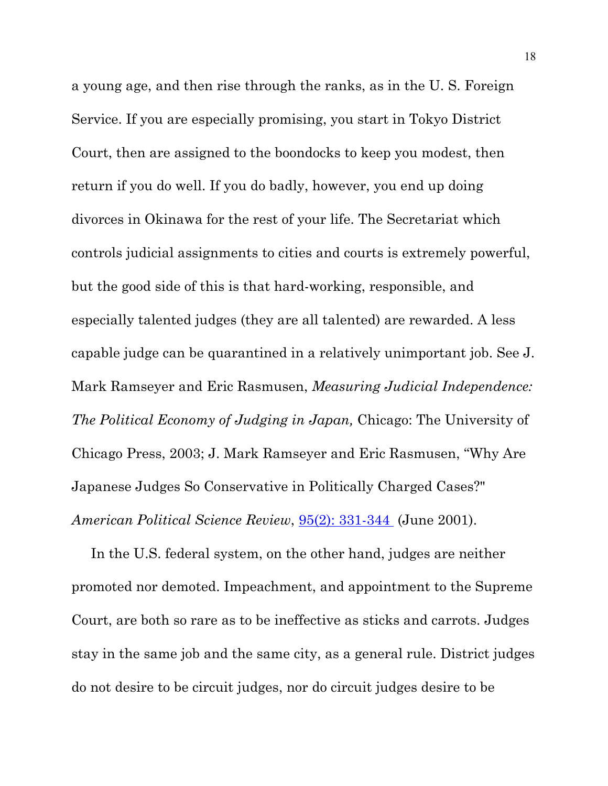a young age, and then rise through the ranks, as in the U. S. Foreign Service. If you are especially promising, you start in Tokyo District Court, then are assigned to the boondocks to keep you modest, then return if you do well. If you do badly, however, you end up doing divorces in Okinawa for the rest of your life. The Secretariat which controls judicial assignments to cities and courts is extremely powerful, but the good side of this is that hard-working, responsible, and especially talented judges (they are all talented) are rewarded. A less capable judge can be quarantined in a relatively unimportant job. See J. Mark Ramseyer and Eric Rasmusen, *Measuring Judicial Independence: The Political Economy of Judging in Japan,* Chicago: The University of Chicago Press, 2003; J. Mark Ramseyer and Eric Rasmusen, "Why Are Japanese Judges So Conservative in Politically Charged Cases?" *American Political Science Review*, [95\(2\): 331-344](http://www.rasmusen.org/published/Rasmusen-01.APSR.jpnpub.pdf) (June 2001).

 In the U.S. federal system, on the other hand, judges are neither promoted nor demoted. Impeachment, and appointment to the Supreme Court, are both so rare as to be ineffective as sticks and carrots. Judges stay in the same job and the same city, as a general rule. District judges do not desire to be circuit judges, nor do circuit judges desire to be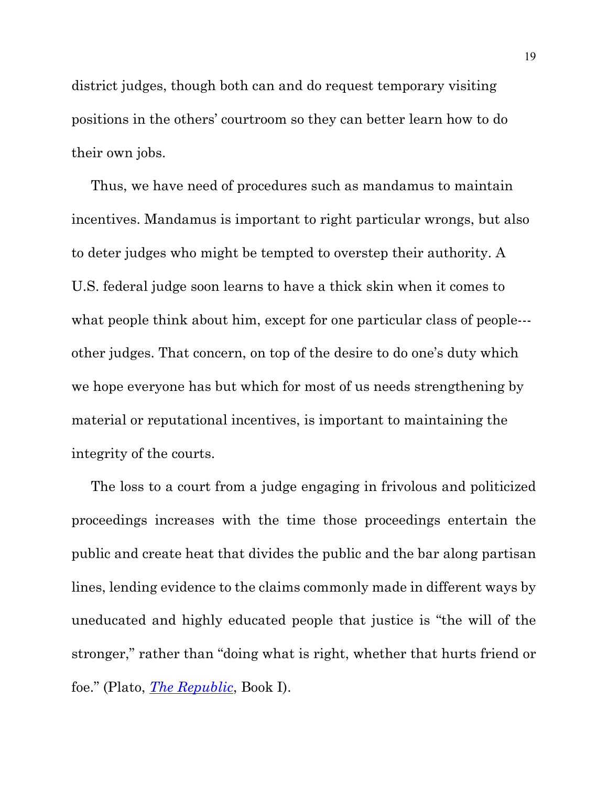district judges, though both can and do request temporary visiting positions in the others' courtroom so they can better learn how to do their own jobs.

 Thus, we have need of procedures such as mandamus to maintain incentives. Mandamus is important to right particular wrongs, but also to deter judges who might be tempted to overstep their authority. A U.S. federal judge soon learns to have a thick skin when it comes to what people think about him, except for one particular class of people--other judges. That concern, on top of the desire to do one's duty which we hope everyone has but which for most of us needs strengthening by material or reputational incentives, is important to maintaining the integrity of the courts.

 The loss to a court from a judge engaging in frivolous and politicized proceedings increases with the time those proceedings entertain the public and create heat that divides the public and the bar along partisan lines, lending evidence to the claims commonly made in different ways by uneducated and highly educated people that justice is "the will of the stronger," rather than "doing what is right, whether that hurts friend or foe." (Plato, *The [Republic](http://www.inp.uw.edu.pl/mdsie/Political_Thought/Plato-Republic.pdf)*, Book I).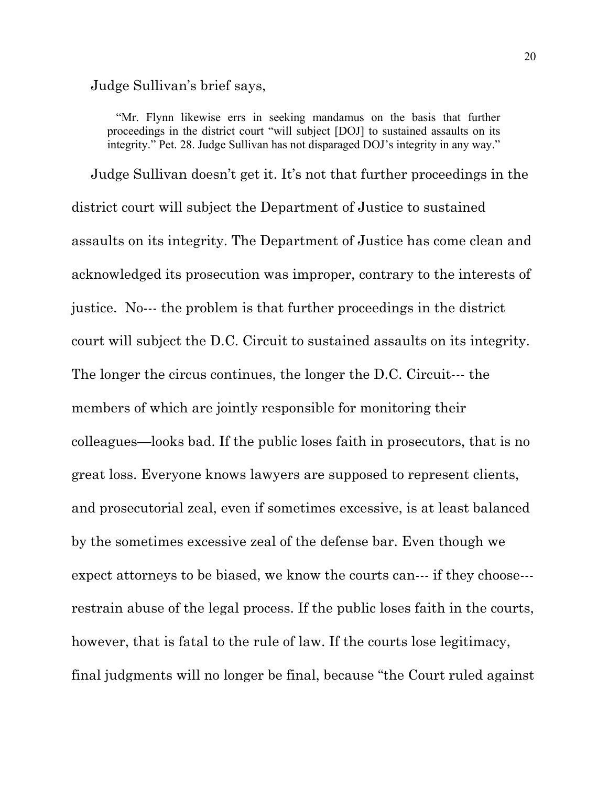Judge Sullivan's brief says,

 "Mr. Flynn likewise errs in seeking mandamus on the basis that further proceedings in the district court "will subject [DOJ] to sustained assaults on its integrity." Pet. 28. Judge Sullivan has not disparaged DOJ's integrity in any way."

 Judge Sullivan doesn't get it. It's not that further proceedings in the district court will subject the Department of Justice to sustained assaults on its integrity. The Department of Justice has come clean and acknowledged its prosecution was improper, contrary to the interests of justice. No--- the problem is that further proceedings in the district court will subject the D.C. Circuit to sustained assaults on its integrity. The longer the circus continues, the longer the D.C. Circuit--- the members of which are jointly responsible for monitoring their colleagues—looks bad. If the public loses faith in prosecutors, that is no great loss. Everyone knows lawyers are supposed to represent clients, and prosecutorial zeal, even if sometimes excessive, is at least balanced by the sometimes excessive zeal of the defense bar. Even though we expect attorneys to be biased, we know the courts can--- if they choose-- restrain abuse of the legal process. If the public loses faith in the courts, however, that is fatal to the rule of law. If the courts lose legitimacy, final judgments will no longer be final, because "the Court ruled against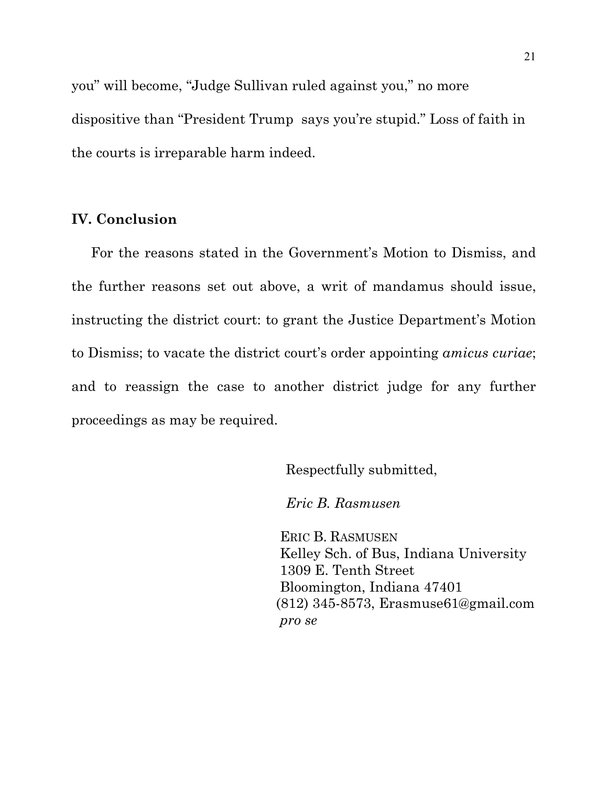you" will become, "Judge Sullivan ruled against you," no more dispositive than "President Trump says you're stupid." Loss of faith in the courts is irreparable harm indeed.

## **IV. Conclusion**

 For the reasons stated in the Government's Motion to Dismiss, and the further reasons set out above, a writ of mandamus should issue, instructing the district court: to grant the Justice Department's Motion to Dismiss; to vacate the district court's order appointing *amicus curiae*; and to reassign the case to another district judge for any further proceedings as may be required.

Respectfully submitted,

*Eric B. Rasmusen*

 ERIC B. RASMUSEN Kelley Sch. of Bus, Indiana University 1309 E. Tenth Street Bloomington, Indiana 47401 (812) 345-8573, Erasmuse61@gmail.com *pro se*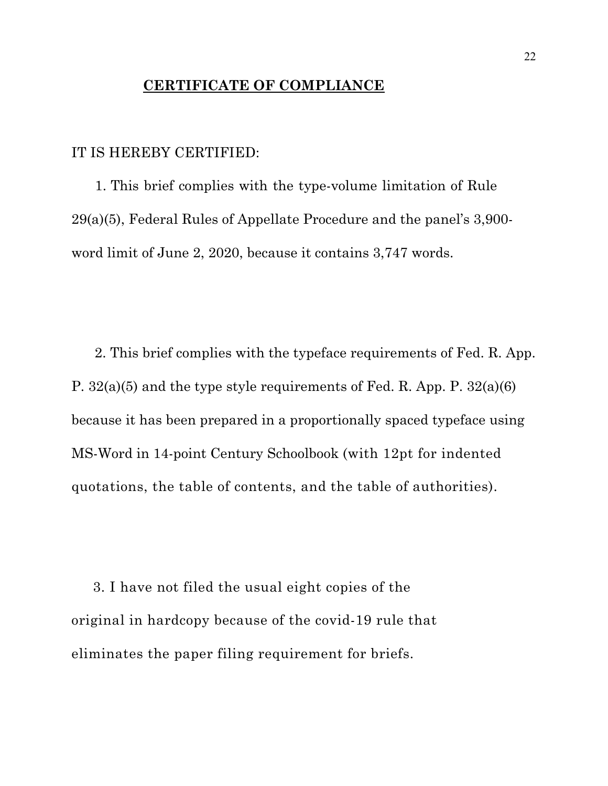# **CERTIFICATE OF COMPLIANCE**

## IT IS HEREBY CERTIFIED:

 1. This brief complies with the type-volume limitation of Rule 29(a)(5), Federal Rules of Appellate Procedure and the panel's 3,900 word limit of June 2, 2020, because it contains 3,747 words.

 2. This brief complies with the typeface requirements of Fed. R. App. P. 32(a)(5) and the type style requirements of Fed. R. App. P. 32(a)(6) because it has been prepared in a proportionally spaced typeface using MS-Word in 14-point Century Schoolbook (with 12pt for indented quotations, the table of contents, and the table of authorities).

 3. I have not filed the usual eight copies of the original in hardcopy because of the covid-19 rule that eliminates the paper filing requirement for briefs.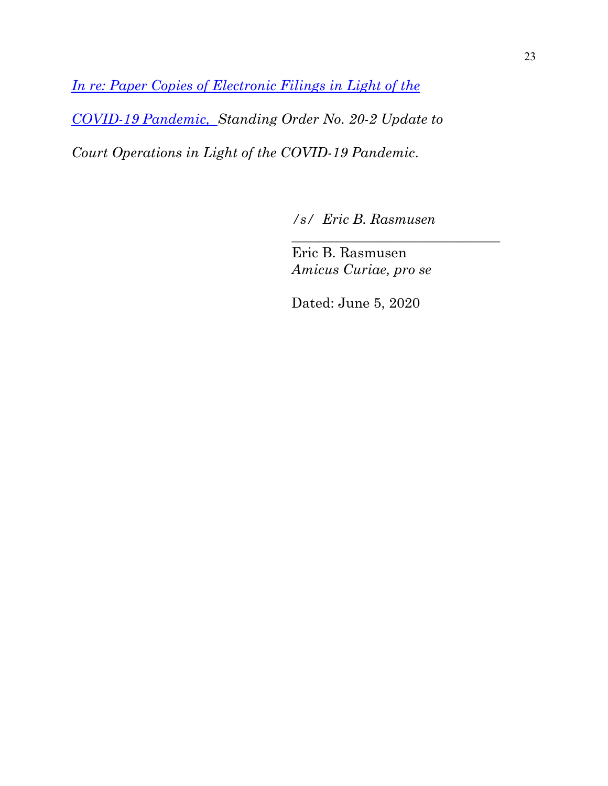*[In re: Paper Copies of Electronic Filings in Light of the](https://www.cadc.uscourts.gov/internet/home.nsf/Content/Announcement%20-%20In%20re%20Paper%20Copies%20of%20Electronic%20Filings%20in%20Light%20of%20the%20COVID-19%20Pandemic/$FILE/StandingOrder20-2.pdf)  [COVID-19 Pandemic, S](https://www.cadc.uscourts.gov/internet/home.nsf/Content/Announcement%20-%20In%20re%20Paper%20Copies%20of%20Electronic%20Filings%20in%20Light%20of%20the%20COVID-19%20Pandemic/$FILE/StandingOrder20-2.pdf)tanding Order No. 20-2 Update to Court Operations in Light of the COVID-19 Pandemic*.

*/s/ Eric B. Rasmusen*

*\_\_\_\_\_\_\_\_\_\_\_\_\_\_\_\_\_\_\_\_\_\_\_\_\_\_\_\_\_\_*

 Eric B. Rasmusen *Amicus Curiae, pro se*

Dated: June 5, 2020